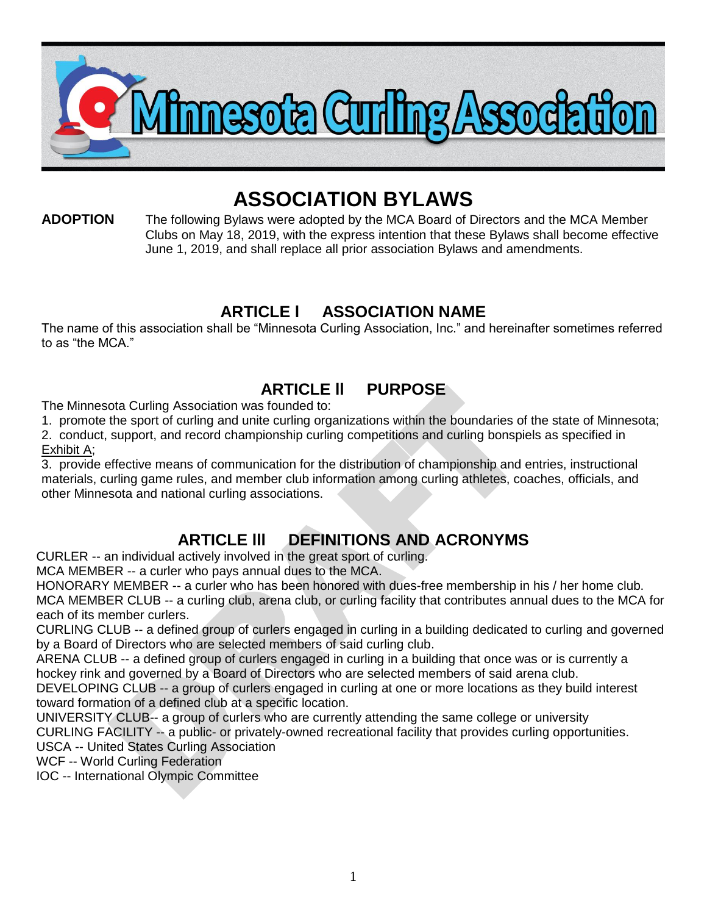

# **ASSOCIATION BYLAWS**

**ADOPTION** The following Bylaws were adopted by the MCA Board of Directors and the MCA Member Clubs on May 18, 2019, with the express intention that these Bylaws shall become effective June 1, 2019, and shall replace all prior association Bylaws and amendments.

## **ARTICLE l ASSOCIATION NAME**

The name of this association shall be "Minnesota Curling Association, Inc." and hereinafter sometimes referred to as "the MCA."

## **ARTICLE ll PURPOSE**

The Minnesota Curling Association was founded to:

1. promote the sport of curling and unite curling organizations within the boundaries of the state of Minnesota;

2. conduct, support, and record championship curling competitions and curling bonspiels as specified in Exhibit A;

3. provide effective means of communication for the distribution of championship and entries, instructional materials, curling game rules, and member club information among curling athletes, coaches, officials, and other Minnesota and national curling associations.

## **ARTICLE lll DEFINITIONS AND ACRONYMS**

CURLER -- an individual actively involved in the great sport of curling.

MCA MEMBER -- a curler who pays annual dues to the MCA.

HONORARY MEMBER -- a curler who has been honored with dues-free membership in his / her home club. MCA MEMBER CLUB -- a curling club, arena club, or curling facility that contributes annual dues to the MCA for each of its member curlers.

CURLING CLUB -- a defined group of curlers engaged in curling in a building dedicated to curling and governed by a Board of Directors who are selected members of said curling club.

ARENA CLUB -- a defined group of curlers engaged in curling in a building that once was or is currently a hockey rink and governed by a Board of Directors who are selected members of said arena club.

DEVELOPING CLUB -- a group of curlers engaged in curling at one or more locations as they build interest toward formation of a defined club at a specific location.

UNIVERSITY CLUB-- a group of curlers who are currently attending the same college or university

CURLING FACILITY -- a public- or privately-owned recreational facility that provides curling opportunities.

USCA -- United States Curling Association

WCF -- World Curling Federation

IOC -- International Olympic Committee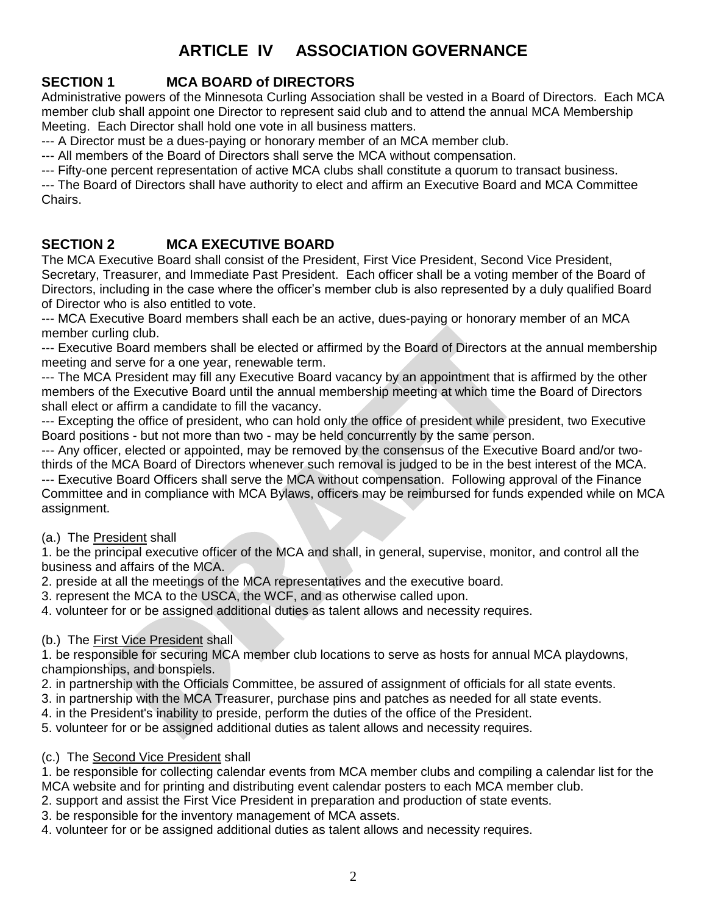## **ARTICLE IV ASSOCIATION GOVERNANCE**

#### **SECTION 1 MCA BOARD of DIRECTORS**

Administrative powers of the Minnesota Curling Association shall be vested in a Board of Directors. Each MCA member club shall appoint one Director to represent said club and to attend the annual MCA Membership Meeting. Each Director shall hold one vote in all business matters.

--- A Director must be a dues-paying or honorary member of an MCA member club.

--- All members of the Board of Directors shall serve the MCA without compensation.

--- Fifty-one percent representation of active MCA clubs shall constitute a quorum to transact business.

--- The Board of Directors shall have authority to elect and affirm an Executive Board and MCA Committee Chairs.

#### **SECTION 2 MCA EXECUTIVE BOARD**

The MCA Executive Board shall consist of the President, First Vice President, Second Vice President, Secretary, Treasurer, and Immediate Past President. Each officer shall be a voting member of the Board of Directors, including in the case where the officer's member club is also represented by a duly qualified Board of Director who is also entitled to vote.

--- MCA Executive Board members shall each be an active, dues-paying or honorary member of an MCA member curling club.

--- Executive Board members shall be elected or affirmed by the Board of Directors at the annual membership meeting and serve for a one year, renewable term.

--- The MCA President may fill any Executive Board vacancy by an appointment that is affirmed by the other members of the Executive Board until the annual membership meeting at which time the Board of Directors shall elect or affirm a candidate to fill the vacancy.

--- Excepting the office of president, who can hold only the office of president while president, two Executive Board positions - but not more than two - may be held concurrently by the same person.

--- Any officer, elected or appointed, may be removed by the consensus of the Executive Board and/or twothirds of the MCA Board of Directors whenever such removal is judged to be in the best interest of the MCA. --- Executive Board Officers shall serve the MCA without compensation. Following approval of the Finance Committee and in compliance with MCA Bylaws, officers may be reimbursed for funds expended while on MCA assignment.

#### (a.) The President shall

1. be the principal executive officer of the MCA and shall, in general, supervise, monitor, and control all the business and affairs of the MCA.

2. preside at all the meetings of the MCA representatives and the executive board.

3. represent the MCA to the USCA, the WCF, and as otherwise called upon.

4. volunteer for or be assigned additional duties as talent allows and necessity requires.

#### (b.) The First Vice President shall

1. be responsible for securing MCA member club locations to serve as hosts for annual MCA playdowns, championships, and bonspiels.

2. in partnership with the Officials Committee, be assured of assignment of officials for all state events.

3. in partnership with the MCA Treasurer, purchase pins and patches as needed for all state events.

4. in the President's inability to preside, perform the duties of the office of the President.

5. volunteer for or be assigned additional duties as talent allows and necessity requires.

(c.) The Second Vice President shall

1. be responsible for collecting calendar events from MCA member clubs and compiling a calendar list for the MCA website and for printing and distributing event calendar posters to each MCA member club.

2. support and assist the First Vice President in preparation and production of state events.

3. be responsible for the inventory management of MCA assets.

4. volunteer for or be assigned additional duties as talent allows and necessity requires.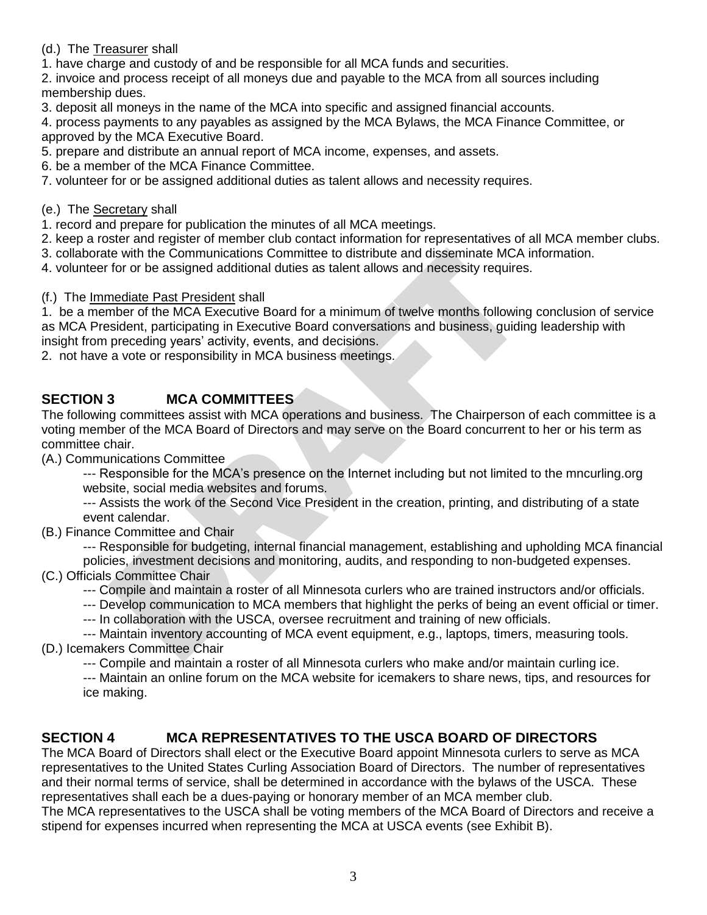(d.) The Treasurer shall

1. have charge and custody of and be responsible for all MCA funds and securities.

2. invoice and process receipt of all moneys due and payable to the MCA from all sources including membership dues.

3. deposit all moneys in the name of the MCA into specific and assigned financial accounts.

4. process payments to any payables as assigned by the MCA Bylaws, the MCA Finance Committee, or approved by the MCA Executive Board.

5. prepare and distribute an annual report of MCA income, expenses, and assets.

6. be a member of the MCA Finance Committee.

7. volunteer for or be assigned additional duties as talent allows and necessity requires.

#### (e.) The Secretary shall

1. record and prepare for publication the minutes of all MCA meetings.

2. keep a roster and register of member club contact information for representatives of all MCA member clubs.

3. collaborate with the Communications Committee to distribute and disseminate MCA information.

4. volunteer for or be assigned additional duties as talent allows and necessity requires.

#### (f.) The Immediate Past President shall

1. be a member of the MCA Executive Board for a minimum of twelve months following conclusion of service as MCA President, participating in Executive Board conversations and business, guiding leadership with insight from preceding years' activity, events, and decisions.

2. not have a vote or responsibility in MCA business meetings.

#### **SECTION 3 MCA COMMITTEES**

The following committees assist with MCA operations and business. The Chairperson of each committee is a voting member of the MCA Board of Directors and may serve on the Board concurrent to her or his term as committee chair.

(A.) Communications Committee

--- Responsible for the MCA's presence on the Internet including but not limited to the mncurling.org website, social media websites and forums.

--- Assists the work of the Second Vice President in the creation, printing, and distributing of a state event calendar.

(B.) Finance Committee and Chair

--- Responsible for budgeting, internal financial management, establishing and upholding MCA financial policies, investment decisions and monitoring, audits, and responding to non-budgeted expenses.

- (C.) Officials Committee Chair
	- --- Compile and maintain a roster of all Minnesota curlers who are trained instructors and/or officials.
	- --- Develop communication to MCA members that highlight the perks of being an event official or timer.
	- --- In collaboration with the USCA, oversee recruitment and training of new officials.

--- Maintain inventory accounting of MCA event equipment, e.g., laptops, timers, measuring tools. (D.) Icemakers Committee Chair

--- Compile and maintain a roster of all Minnesota curlers who make and/or maintain curling ice.

--- Maintain an online forum on the MCA website for icemakers to share news, tips, and resources for ice making.

#### **SECTION 4 MCA REPRESENTATIVES TO THE USCA BOARD OF DIRECTORS**

The MCA Board of Directors shall elect or the Executive Board appoint Minnesota curlers to serve as MCA representatives to the United States Curling Association Board of Directors. The number of representatives and their normal terms of service, shall be determined in accordance with the bylaws of the USCA. These representatives shall each be a dues-paying or honorary member of an MCA member club.

The MCA representatives to the USCA shall be voting members of the MCA Board of Directors and receive a stipend for expenses incurred when representing the MCA at USCA events (see Exhibit B).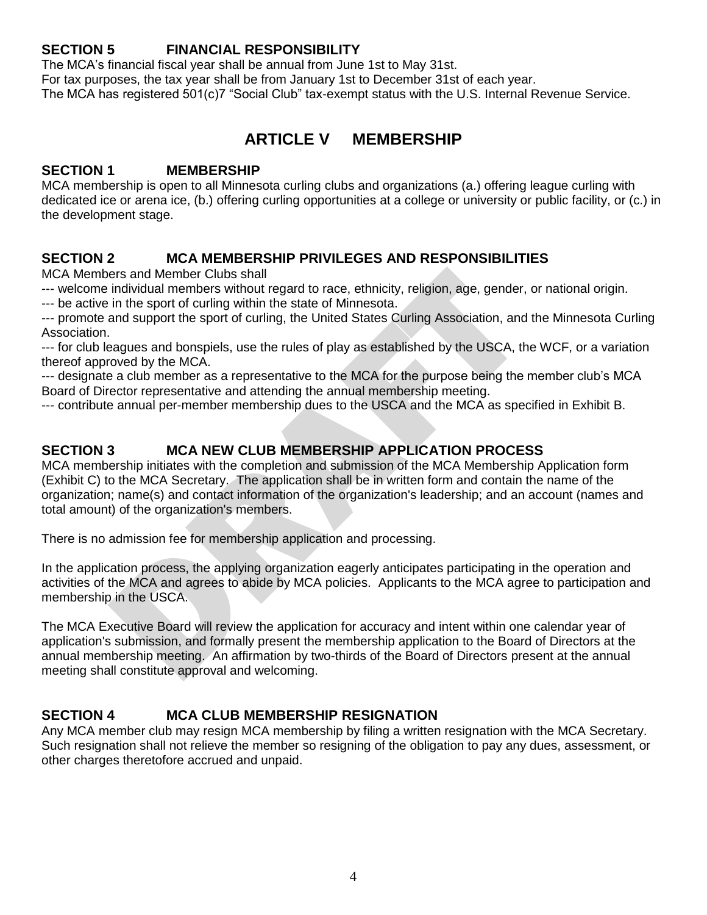#### **SECTION 5 FINANCIAL RESPONSIBILITY**

The MCA's financial fiscal year shall be annual from June 1st to May 31st. For tax purposes, the tax year shall be from January 1st to December 31st of each year. The MCA has registered 501(c)7 "Social Club" tax-exempt status with the U.S. Internal Revenue Service.

## **ARTICLE V MEMBERSHIP**

#### **SECTION 1 MEMBERSHIP**

MCA membership is open to all Minnesota curling clubs and organizations (a.) offering league curling with dedicated ice or arena ice, (b.) offering curling opportunities at a college or university or public facility, or (c.) in the development stage.

#### **SECTION 2 MCA MEMBERSHIP PRIVILEGES AND RESPONSIBILITIES**

MCA Members and Member Clubs shall

--- welcome individual members without regard to race, ethnicity, religion, age, gender, or national origin.

--- be active in the sport of curling within the state of Minnesota.

--- promote and support the sport of curling, the United States Curling Association, and the Minnesota Curling Association.

--- for club leagues and bonspiels, use the rules of play as established by the USCA, the WCF, or a variation thereof approved by the MCA.

--- designate a club member as a representative to the MCA for the purpose being the member club's MCA Board of Director representative and attending the annual membership meeting.

--- contribute annual per-member membership dues to the USCA and the MCA as specified in Exhibit B.

#### **SECTION 3 MCA NEW CLUB MEMBERSHIP APPLICATION PROCESS**

MCA membership initiates with the completion and submission of the MCA Membership Application form (Exhibit C) to the MCA Secretary. The application shall be in written form and contain the name of the organization; name(s) and contact information of the organization's leadership; and an account (names and total amount) of the organization's members.

There is no admission fee for membership application and processing.

In the application process, the applying organization eagerly anticipates participating in the operation and activities of the MCA and agrees to abide by MCA policies. Applicants to the MCA agree to participation and membership in the USCA.

The MCA Executive Board will review the application for accuracy and intent within one calendar year of application's submission, and formally present the membership application to the Board of Directors at the annual membership meeting. An affirmation by two-thirds of the Board of Directors present at the annual meeting shall constitute approval and welcoming.

#### **SECTION 4 MCA CLUB MEMBERSHIP RESIGNATION**

Any MCA member club may resign MCA membership by filing a written resignation with the MCA Secretary. Such resignation shall not relieve the member so resigning of the obligation to pay any dues, assessment, or other charges theretofore accrued and unpaid.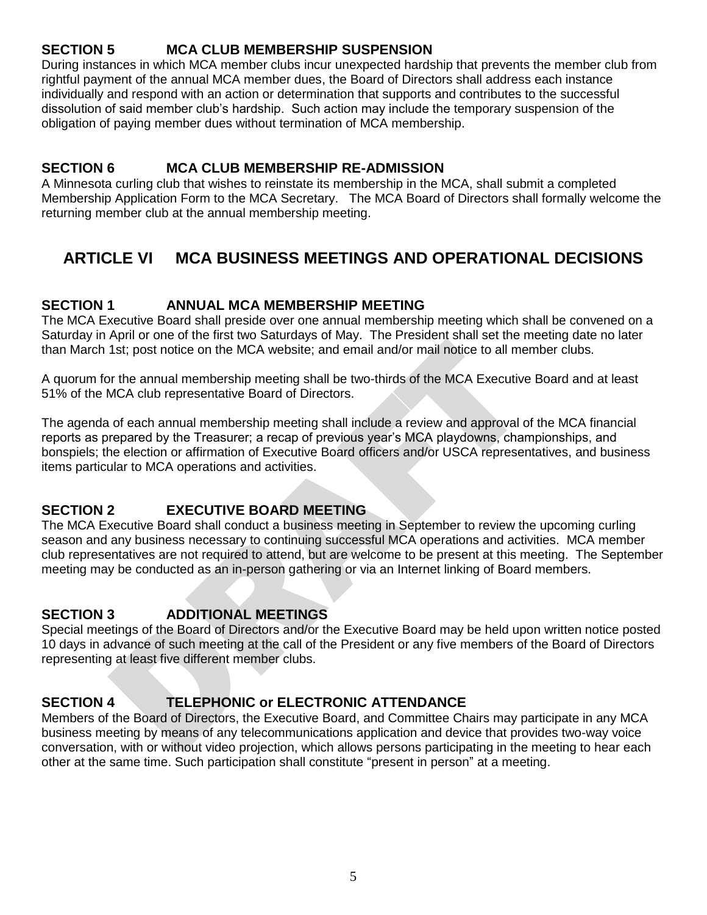#### **SECTION 5 MCA CLUB MEMBERSHIP SUSPENSION**

During instances in which MCA member clubs incur unexpected hardship that prevents the member club from rightful payment of the annual MCA member dues, the Board of Directors shall address each instance individually and respond with an action or determination that supports and contributes to the successful dissolution of said member club's hardship. Such action may include the temporary suspension of the obligation of paying member dues without termination of MCA membership.

#### **SECTION 6 MCA CLUB MEMBERSHIP RE-ADMISSION**

A Minnesota curling club that wishes to reinstate its membership in the MCA, shall submit a completed Membership Application Form to the MCA Secretary. The MCA Board of Directors shall formally welcome the returning member club at the annual membership meeting.

## **ARTICLE VI MCA BUSINESS MEETINGS AND OPERATIONAL DECISIONS**

#### **SECTION 1 ANNUAL MCA MEMBERSHIP MEETING**

The MCA Executive Board shall preside over one annual membership meeting which shall be convened on a Saturday in April or one of the first two Saturdays of May. The President shall set the meeting date no later than March 1st; post notice on the MCA website; and email and/or mail notice to all member clubs.

A quorum for the annual membership meeting shall be two-thirds of the MCA Executive Board and at least 51% of the MCA club representative Board of Directors.

The agenda of each annual membership meeting shall include a review and approval of the MCA financial reports as prepared by the Treasurer; a recap of previous year's MCA playdowns, championships, and bonspiels; the election or affirmation of Executive Board officers and/or USCA representatives, and business items particular to MCA operations and activities.

#### **SECTION 2 EXECUTIVE BOARD MEETING**

The MCA Executive Board shall conduct a business meeting in September to review the upcoming curling season and any business necessary to continuing successful MCA operations and activities. MCA member club representatives are not required to attend, but are welcome to be present at this meeting. The September meeting may be conducted as an in-person gathering or via an Internet linking of Board members.

#### **SECTION 3 ADDITIONAL MEETINGS**

Special meetings of the Board of Directors and/or the Executive Board may be held upon written notice posted 10 days in advance of such meeting at the call of the President or any five members of the Board of Directors representing at least five different member clubs.

#### **SECTION 4 TELEPHONIC or ELECTRONIC ATTENDANCE**

Members of the Board of Directors, the Executive Board, and Committee Chairs may participate in any MCA business meeting by means of any telecommunications application and device that provides two-way voice conversation, with or without video projection, which allows persons participating in the meeting to hear each other at the same time. Such participation shall constitute "present in person" at a meeting.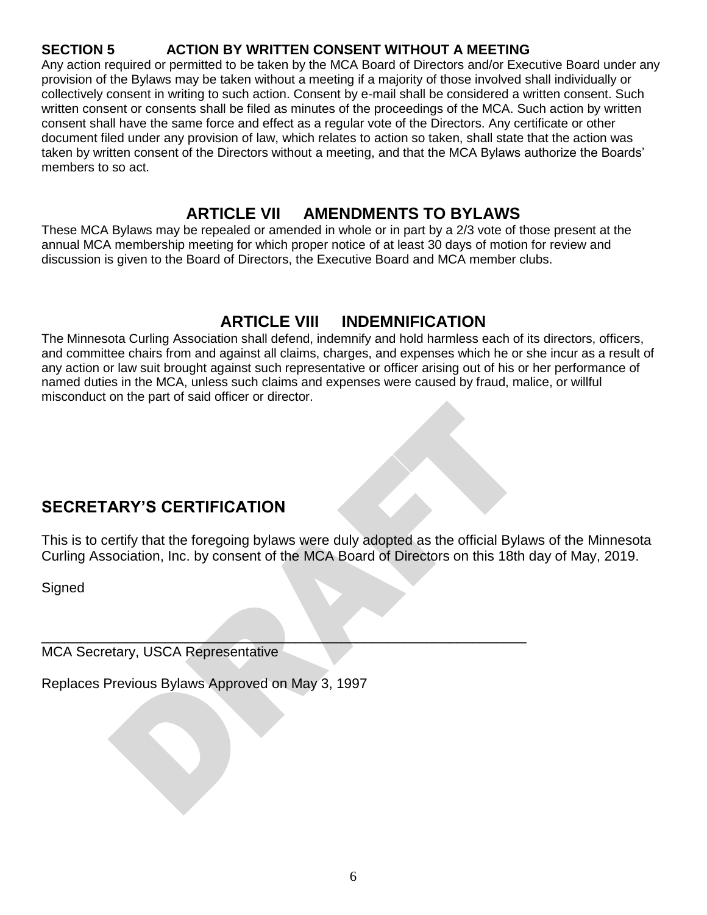#### **SECTION 5 ACTION BY WRITTEN CONSENT WITHOUT A MEETING**

Any action required or permitted to be taken by the MCA Board of Directors and/or Executive Board under any provision of the Bylaws may be taken without a meeting if a majority of those involved shall individually or collectively consent in writing to such action. Consent by e-mail shall be considered a written consent. Such written consent or consents shall be filed as minutes of the proceedings of the MCA. Such action by written consent shall have the same force and effect as a regular vote of the Directors. Any certificate or other document filed under any provision of law, which relates to action so taken, shall state that the action was taken by written consent of the Directors without a meeting, and that the MCA Bylaws authorize the Boards' members to so act.

## **ARTICLE VII AMENDMENTS TO BYLAWS**

These MCA Bylaws may be repealed or amended in whole or in part by a 2/3 vote of those present at the annual MCA membership meeting for which proper notice of at least 30 days of motion for review and discussion is given to the Board of Directors, the Executive Board and MCA member clubs.

## **ARTICLE VIII INDEMNIFICATION**

The Minnesota Curling Association shall defend, indemnify and hold harmless each of its directors, officers, and committee chairs from and against all claims, charges, and expenses which he or she incur as a result of any action or law suit brought against such representative or officer arising out of his or her performance of named duties in the MCA, unless such claims and expenses were caused by fraud, malice, or willful misconduct on the part of said officer or director.

## **SECRETARY'S CERTIFICATION**

This is to certify that the foregoing bylaws were duly adopted as the official Bylaws of the Minnesota Curling Association, Inc. by consent of the MCA Board of Directors on this 18th day of May, 2019.

**Signed** 

 $\overline{\phantom{a}}$  , and the contract of the contract of the contract of the contract of the contract of the contract of the contract of the contract of the contract of the contract of the contract of the contract of the contrac MCA Secretary, USCA Representative

Replaces Previous Bylaws Approved on May 3, 1997